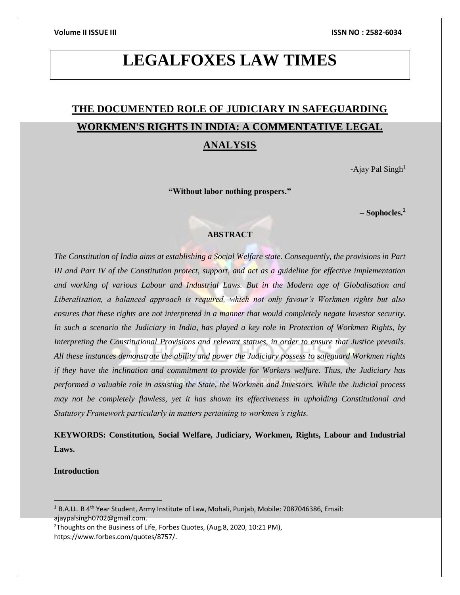# **LEGALFOXES LAW TIMES**

# **THE DOCUMENTED ROLE OF JUDICIARY IN SAFEGUARDING WORKMEN'S RIGHTS IN INDIA: A COMMENTATIVE LEGAL ANALYSIS**

-Ajay Pal  $Singh<sup>1</sup>$ 

**"Without labor nothing prospers."**

**– Sophocles.<sup>2</sup>**

# **ABSTRACT**

*The Constitution of India aims at establishing a Social Welfare state. Consequently, the provisions in Part III and Part IV of the Constitution protect, support, and act as a guideline for effective implementation and working of various Labour and Industrial Laws. But in the Modern age of Globalisation and Liberalisation, a balanced approach is required, which not only favour's Workmen rights but also ensures that these rights are not interpreted in a manner that would completely negate Investor security. In such a scenario the Judiciary in India, has played a key role in Protection of Workmen Rights, by Interpreting the Constitutional Provisions and relevant statues, in order to ensure that Justice prevails. All these instances demonstrate the ability and power the Judiciary possess to safeguard Workmen rights if they have the inclination and commitment to provide for Workers welfare. Thus, the Judiciary has performed a valuable role in assisting the State, the Workmen and Investors. While the Judicial process may not be completely flawless, yet it has shown its effectiveness in upholding Constitutional and Statutory Framework particularly in matters pertaining to workmen's rights.*

**KEYWORDS: Constitution, Social Welfare, Judiciary, Workmen, Rights, Labour and Industrial Laws.**

**Introduction**

 $1 B.$ A.LL. B 4<sup>th</sup> Year Student, Army Institute of Law, Mohali, Punjab, Mobile: 7087046386, Email: ajaypalsingh0702@gmail.com. <sup>2</sup>Thoughts on the Business of Life, Forbes Quotes, (Aug.8, 2020, 10:21 PM),

https://www.forbes.com/quotes/8757/.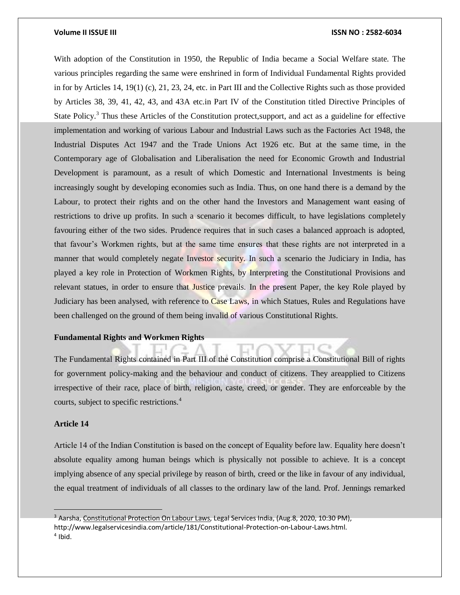With adoption of the Constitution in 1950, the Republic of India became a Social Welfare state. The various principles regarding the same were enshrined in form of Individual Fundamental Rights provided in for by Articles 14, 19(1) (c), 21, 23, 24, etc. in Part III and the Collective Rights such as those provided by Articles 38, 39, 41, 42, 43, and 43A etc.in Part IV of the Constitution titled Directive Principles of State Policy.<sup>3</sup> Thus these Articles of the Constitution protect, support, and act as a guideline for effective implementation and working of various Labour and Industrial Laws such as the Factories Act 1948, the Industrial Disputes Act 1947 and the Trade Unions Act 1926 etc. But at the same time, in the Contemporary age of Globalisation and Liberalisation the need for Economic Growth and Industrial Development is paramount, as a result of which Domestic and International Investments is being increasingly sought by developing economies such as India. Thus, on one hand there is a demand by the Labour, to protect their rights and on the other hand the Investors and Management want easing of restrictions to drive up profits. In such a scenario it becomes difficult, to have legislations completely favouring either of the two sides. Prudence requires that in such cases a balanced approach is adopted, that favour's Workmen rights, but at the same time ensures that these rights are not interpreted in a manner that would completely negate Investor security. In such a scenario the Judiciary in India, has played a key role in Protection of Workmen Rights, by Interpreting the Constitutional Provisions and relevant statues, in order to ensure that Justice prevails. In the present Paper, the key Role played by Judiciary has been analysed, with reference to Case Laws, in which Statues, Rules and Regulations have been challenged on the ground of them being invalid of various Constitutional Rights.

# **Fundamental Rights and Workmen Rights**

The Fundamental Rights contained in Part III of the Constitution comprise a Constitutional Bill of rights for government policy-making and the behaviour and conduct of citizens. They areapplied to Citizens irrespective of their race, place of birth, religion, caste, creed, or gender. They are enforceable by the courts, subject to specific restrictions.<sup>4</sup>

# **Article 14**

Article 14 of the Indian Constitution is based on the concept of Equality before law. Equality here doesn't absolute equality among human beings which is physically not possible to achieve. It is a concept implying absence of any special privilege by reason of birth, creed or the like in favour of any individual, the equal treatment of individuals of all classes to the ordinary law of the land. Prof. Jennings remarked

<sup>&</sup>lt;sup>3</sup> Aarsha, Constitutional Protection On Labour Laws, Legal Services India, (Aug.8, 2020, 10:30 PM), http://www.legalservicesindia.com/article/181/Constitutional-Protection-on-Labour-Laws.html. 4 Ibid.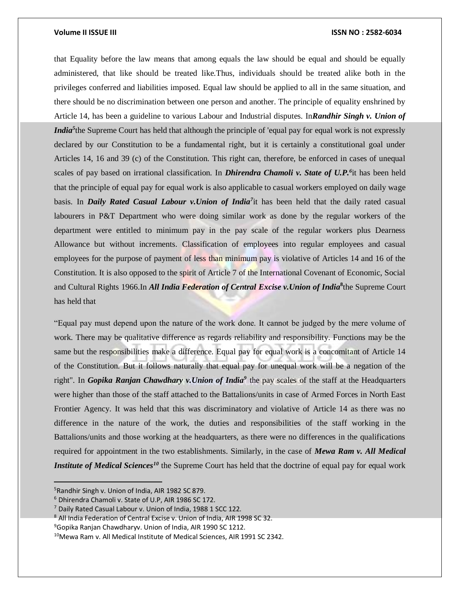that Equality before the law means that among equals the law should be equal and should be equally administered, that like should be treated like.Thus, individuals should be treated alike both in the privileges conferred and liabilities imposed. Equal law should be applied to all in the same situation, and there should be no discrimination between one person and another. The principle of equality enshrined by Article 14, has been a guideline to various Labour and Industrial disputes. In*Randhir Singh v. Union of India*<sup>5</sup> the Supreme Court has held that although the principle of 'equal pay for equal work is not expressly declared by our Constitution to be a fundamental right, but it is certainly a constitutional goal under Articles 14, 16 and 39 (c) of the Constitution. This right can, therefore, be enforced in cases of unequal scales of pay based on irrational classification. In *Dhirendra Chamoli v. State of U.P.<sup>6</sup>* it has been held that the principle of equal pay for equal work is also applicable to casual workers employed on daily wage basis. In *Daily Rated Casual Labour v.Union of India<sup>7</sup>* it has been held that the daily rated casual labourers in P&T Department who were doing similar work as done by the regular workers of the department were entitled to minimum pay in the pay scale of the regular workers plus Dearness Allowance but without increments. Classification of employees into regular employees and casual employees for the purpose of payment of less than minimum pay is violative of Articles 14 and 16 of the Constitution. It is also opposed to the spirit of Article 7 of the International Covenant of Economic, Social and Cultural Rights 1966.In *All India Federation of Central Excise v.Union of India***<sup>8</sup>** the Supreme Court has held that

"Equal pay must depend upon the nature of the work done. It cannot be judged by the mere volume of work. There may be qualitative difference as regards reliability and responsibility. Functions may be the same but the responsibilities make a difference. Equal pay for equal work is a concomitant of Article 14 of the Constitution. But it follows naturally that equal pay for unequal work will be a negation of the right". In *Gopika Ranjan Chawdhary v.Union of India<sup>9</sup>* the pay scales of the staff at the Headquarters were higher than those of the staff attached to the Battalions/units in case of Armed Forces in North East Frontier Agency. It was held that this was discriminatory and violative of Article 14 as there was no difference in the nature of the work, the duties and responsibilities of the staff working in the Battalions/units and those working at the headquarters, as there were no differences in the qualifications required for appointment in the two establishments. Similarly, in the case of *Mewa Ram v. All Medical Institute of Medical Sciences<sup>10</sup>* the Supreme Court has held that the doctrine of equal pay for equal work

<sup>&</sup>lt;sup>5</sup> Randhir Singh v. Union of India, AIR 1982 SC 879.

<sup>6</sup> Dhirendra Chamoli v. State of U.P, AIR 1986 SC 172.

 $7$  Daily Rated Casual Labour v. Union of India, 1988 1 SCC 122.

<sup>8</sup> All India Federation of Central Excise v. Union of India, AIR 1998 SC 32.

<sup>9</sup>Gopika Ranjan Chawdharyv. Union of India, AIR 1990 SC 1212.

<sup>&</sup>lt;sup>10</sup>Mewa Ram v. All Medical Institute of Medical Sciences, AIR 1991 SC 2342.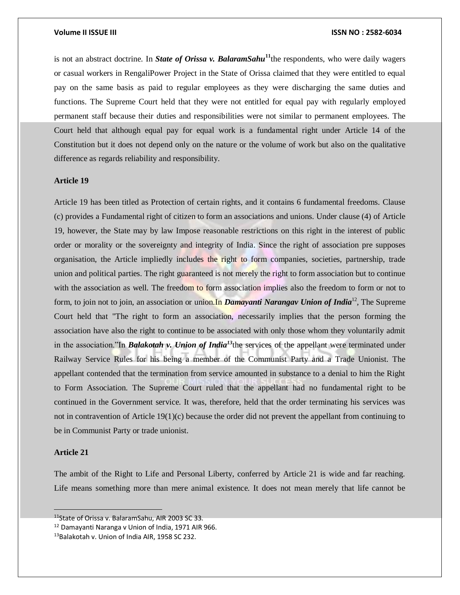is not an abstract doctrine. In *State of Orissa v. BalaramSahu***<sup>11</sup>**the respondents, who were daily wagers or casual workers in RengaliPower Project in the State of Orissa claimed that they were entitled to equal pay on the same basis as paid to regular employees as they were discharging the same duties and functions. The Supreme Court held that they were not entitled for equal pay with regularly employed permanent staff because their duties and responsibilities were not similar to permanent employees. The Court held that although equal pay for equal work is a fundamental right under Article 14 of the Constitution but it does not depend only on the nature or the volume of work but also on the qualitative difference as regards reliability and responsibility.

# **Article 19**

Article 19 has been titled as Protection of certain rights, and it contains 6 fundamental freedoms. Clause (c) provides a Fundamental right of citizen to form an associations and unions. Under clause (4) of Article 19, however, the State may by law Impose reasonable restrictions on this right in the interest of public order or morality or the sovereignty and integrity of India. Since the right of association pre supposes organisation, the Article impliedly includes the right to form companies, societies, partnership, trade union and political parties. The right guaranteed is not merely the right to form association but to continue with the association as well. The freedom to form association implies also the freedom to form or not to form, to join not to join, an association or union.In *Damayanti Narangav Union of India*<sup>12</sup>, The Supreme Court held that "The right to form an association, necessarily implies that the person forming the association have also the right to continue to be associated with only those whom they voluntarily admit in the association."In *Balakotah v. Union of India<sup>13</sup>*the services of the appellant were terminated under Railway Service Rules for his being a member of the Communist Party and a Trade Unionist. The appellant contended that the termination from service amounted in substance to a denial to him the Right to Form Association. The Supreme Court ruled that the appellant had no fundamental right to be continued in the Government service. It was, therefore, held that the order terminating his services was not in contravention of Article 19(1)(c) because the order did not prevent the appellant from continuing to be in Communist Party or trade unionist.

# **Article 21**

The ambit of the Right to Life and Personal Liberty, conferred by Article 21 is wide and far reaching. Life means something more than mere animal existence. It does not mean merely that life cannot be

<sup>&</sup>lt;sup>11</sup>State of Orissa v. BalaramSahu, AIR 2003 SC 33.

<sup>12</sup> Damayanti Naranga v Union of India, 1971 AIR 966.

<sup>13</sup>Balakotah v. Union of India AIR, 1958 SC 232.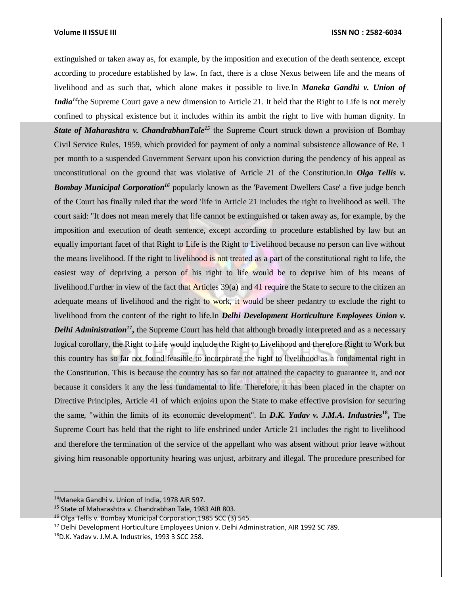extinguished or taken away as, for example, by the imposition and execution of the death sentence, except according to procedure established by law. In fact, there is a close Nexus between life and the means of livelihood and as such that, which alone makes it possible to live.In *Maneka Gandhi v. Union of India*<sup>*14*</sup>the Supreme Court gave a new dimension to Article 21. It held that the Right to Life is not merely confined to physical existence but it includes within its ambit the right to live with human dignity. In **State of Maharashtra v. ChandrabhanTale**<sup>15</sup> the Supreme Court struck down a provision of Bombay Civil Service Rules, 1959, which provided for payment of only a nominal subsistence allowance of Re. 1 per month to a suspended Government Servant upon his conviction during the pendency of his appeal as unconstitutional on the ground that was violative of Article 21 of the Constitution.In *Olga Tellis v. Bombay Municipal Corporation<sup>16</sup>* popularly known as the 'Pavement Dwellers Case' a five judge bench of the Court has finally ruled that the word 'life in Article 21 includes the right to livelihood as well. The court said: "It does not mean merely that life cannot be extinguished or taken away as, for example, by the imposition and execution of death sentence, except according to procedure established by law but an equally important facet of that Right to Life is the Right to Livelihood because no person can live without the means livelihood. If the right to livelihood is not treated as a part of the constitutional right to life, the easiest way of depriving a person of his right to life would be to deprive him of his means of livelihood.Further in view of the fact that Articles 39(a) and 41 require the State to secure to the citizen an adequate means of livelihood and the right to work, it would be sheer pedantry to exclude the right to livelihood from the content of the right to life.In *Delhi Development Horticulture Employees Union v.*  **Delhi Administration<sup>17</sup>**, the Supreme Court has held that although broadly interpreted and as a necessary logical corollary, the Right to Life would include the Right to Livelihood and therefore Right to Work but this country has so far not found feasible to incorporate the right to livelihood as a fundamental right in the Constitution. This is because the country has so far not attained the capacity to guarantee it, and not because it considers it any the less fundamental to life. Therefore, it has been placed in the chapter on Directive Principles, Article 41 of which enjoins upon the State to make effective provision for securing the same, "within the limits of its economic development". In *D.K. Yadav v. J.M.A. Industries***<sup>18</sup> ,** The Supreme Court has held that the right to life enshrined under Article 21 includes the right to livelihood and therefore the termination of the service of the appellant who was absent without prior leave without giving him reasonable opportunity hearing was unjust, arbitrary and illegal. The procedure prescribed for

<sup>14</sup>Maneka Gandhi v. Union of India, 1978 AIR 597.

<sup>15</sup> State of Maharashtra v. Chandrabhan Tale, 1983 AIR 803.

<sup>16</sup> Olga Tellis v. Bombay Municipal Corporation,1985 SCC (3) 545.

<sup>&</sup>lt;sup>17</sup> Delhi Development Horticulture Employees Union v. Delhi Administration, AIR 1992 SC 789.

<sup>18</sup>D.K. Yadav v. J.M.A. Industries, 1993 3 SCC 258.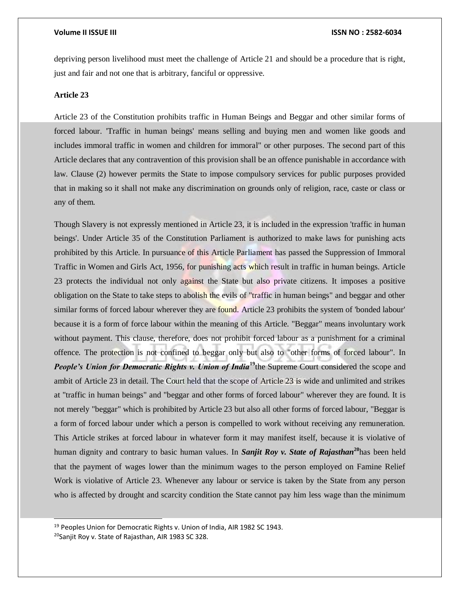depriving person livelihood must meet the challenge of Article 21 and should be a procedure that is right, just and fair and not one that is arbitrary, fanciful or oppressive.

# **Article 23**

Article 23 of the Constitution prohibits traffic in Human Beings and Beggar and other similar forms of forced labour. 'Traffic in human beings' means selling and buying men and women like goods and includes immoral traffic in women and children for immoral" or other purposes. The second part of this Article declares that any contravention of this provision shall be an offence punishable in accordance with law. Clause (2) however permits the State to impose compulsory services for public purposes provided that in making so it shall not make any discrimination on grounds only of religion, race, caste or class or any of them.

Though Slavery is not expressly mentioned in Article 23, it is included in the expression 'traffic in human beings'. Under Article 35 of the Constitution Parliament is authorized to make laws for punishing acts prohibited by this Article. In pursuance of this Article Parliament has passed the Suppression of Immoral Traffic in Women and Girls Act, 1956, for punishing acts which result in traffic in human beings. Article 23 protects the individual not only against the State but also private citizens. It imposes a positive obligation on the State to take steps to abolish the evils of "traffic in human beings" and beggar and other similar forms of forced labour wherever they are found. Article 23 prohibits the system of 'bonded labour' because it is a form of force labour within the meaning of this Article. "Beggar" means involuntary work without payment. This clause, therefore, does not prohibit forced labour as a punishment for a criminal offence. The protection is not confined to beggar only but also to "other forms of forced labour". In *People's Union for Democratic Rights v. Union of India<sup>19</sup>the Supreme Court considered the scope and* ambit of Article 23 in detail. The Court held that the scope of Article 23 is wide and unlimited and strikes at "traffic in human beings" and "beggar and other forms of forced labour" wherever they are found. It is not merely "beggar" which is prohibited by Article 23 but also all other forms of forced labour, "Beggar is a form of forced labour under which a person is compelled to work without receiving any remuneration. This Article strikes at forced labour in whatever form it may manifest itself, because it is violative of human dignity and contrary to basic human values. In *Sanjit Roy v. State of Rajasthan***<sup>20</sup>**has been held that the payment of wages lower than the minimum wages to the person employed on Famine Relief Work is violative of Article 23. Whenever any labour or service is taken by the State from any person who is affected by drought and scarcity condition the State cannot pay him less wage than the minimum

l

<sup>&</sup>lt;sup>19</sup> Peoples Union for Democratic Rights v. Union of India, AIR 1982 SC 1943.

<sup>&</sup>lt;sup>20</sup>Sanjit Roy v. State of Rajasthan, AIR 1983 SC 328.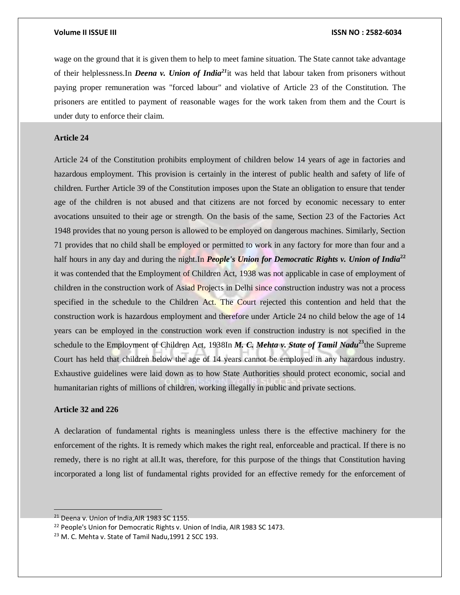wage on the ground that it is given them to help to meet famine situation. The State cannot take advantage of their helplessness.In *Deena v. Union of India<sup>21</sup>*it was held that labour taken from prisoners without paying proper remuneration was "forced labour" and violative of Article 23 of the Constitution. The prisoners are entitled to payment of reasonable wages for the work taken from them and the Court is under duty to enforce their claim.

# **Article 24**

Article 24 of the Constitution prohibits employment of children below 14 years of age in factories and hazardous employment. This provision is certainly in the interest of public health and safety of life of children. Further Article 39 of the Constitution imposes upon the State an obligation to ensure that tender age of the children is not abused and that citizens are not forced by economic necessary to enter avocations unsuited to their age or strength. On the basis of the same, Section 23 of the Factories Act 1948 provides that no young person is allowed to be employed on dangerous machines. Similarly, Section 71 provides that no child shall be employed or permitted to work in any factory for more than four and a half hours in any day and during the night.In *People's Union for Democratic Rights v. Union of India*<sup>22</sup> it was contended that the Employment of Children Act, 1938 was not applicable in case of employment of children in the construction work of Asiad Projects in Delhi since construction industry was not a process specified in the schedule to the Children Act. The Court rejected this contention and held that the construction work is hazardous employment and therefore under Article 24 no child below the age of 14 years can be employed in the construction work even if construction industry is not specified in the schedule to the Employment of Children Act, 1938In *M. C. Mehta v. State of Tamil Nadu***<sup>23</sup>**the Supreme Court has held that children below the age of 14 years cannot be employed in any hazardous industry. Exhaustive guidelines were laid down as to how State Authorities should protect economic, social and humanitarian rights of millions of children, working illegally in public and private sections.

# **Article 32 and 226**

A declaration of fundamental rights is meaningless unless there is the effective machinery for the enforcement of the rights. It is remedy which makes the right real, enforceable and practical. If there is no remedy, there is no right at all.It was, therefore, for this purpose of the things that Constitution having incorporated a long list of fundamental rights provided for an effective remedy for the enforcement of

<sup>&</sup>lt;sup>21</sup> Deena v. Union of India, AIR 1983 SC 1155.

<sup>&</sup>lt;sup>22</sup> People's Union for Democratic Rights v. Union of India, AIR 1983 SC 1473.

<sup>&</sup>lt;sup>23</sup> M. C. Mehta v. State of Tamil Nadu, 1991 2 SCC 193.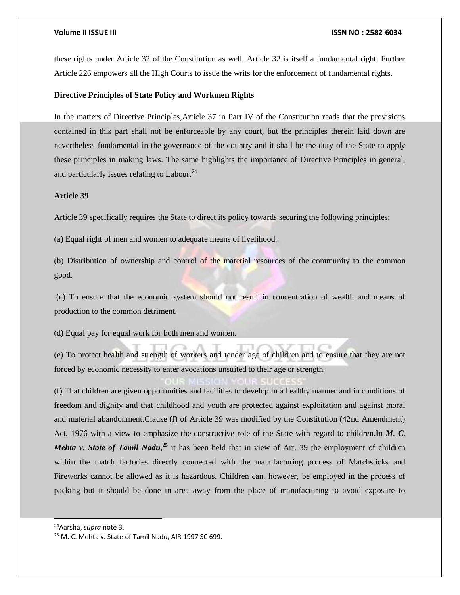these rights under Article 32 of the Constitution as well. Article 32 is itself a fundamental right. Further Article 226 empowers all the High Courts to issue the writs for the enforcement of fundamental rights.

# **Directive Principles of State Policy and Workmen Rights**

In the matters of Directive Principles,Article 37 in Part IV of the Constitution reads that the provisions contained in this part shall not be enforceable by any court, but the principles therein laid down are nevertheless fundamental in the governance of the country and it shall be the duty of the State to apply these principles in making laws. The same highlights the importance of Directive Principles in general, and particularly issues relating to Labour.<sup>24</sup>

# **Article 39**

Article 39 specifically requires the State to direct its policy towards securing the following principles:

(a) Equal right of men and women to adequate means of livelihood.

(b) Distribution of ownership and control of the material resources of the community to the common good,

(c) To ensure that the economic system should not result in concentration of wealth and means of production to the common detriment.

(d) Equal pay for equal work for both men and women.

(e) To protect health and strength of workers and tender age of children and to ensure that they are not forced by economic necessity to enter avocations unsuited to their age or strength.

(f) That children are given opportunities and facilities to develop in a healthy manner and in conditions of freedom and dignity and that childhood and youth are protected against exploitation and against moral and material abandonment.Clause (f) of Article 39 was modified by the Constitution (42nd Amendment) Act, 1976 with a view to emphasize the constructive role of the State with regard to children.In *M. C. Mehta v. State of Tamil Nadu*<sup>25</sup>, it has been held that in view of Art. 39 the employment of children within the match factories directly connected with the manufacturing process of Matchsticks and Fireworks cannot be allowed as it is hazardous. Children can, however, be employed in the process of packing but it should be done in area away from the place of manufacturing to avoid exposure to

<sup>24</sup>Aarsha, *supra* note 3.

l

<sup>25</sup> M. C. Mehta v. State of Tamil Nadu, AIR 1997 SC 699.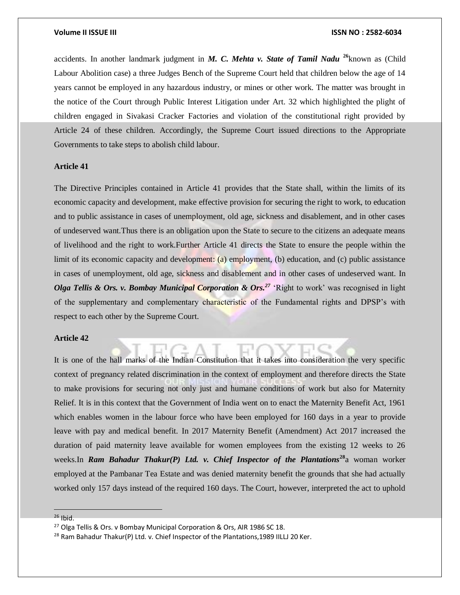accidents. In another landmark judgment in *M. C. Mehta v. State of Tamil Nadu* **<sup>26</sup>**known as (Child Labour Abolition case) a three Judges Bench of the Supreme Court held that children below the age of 14 years cannot be employed in any hazardous industry, or mines or other work. The matter was brought in the notice of the Court through Public Interest Litigation under Art. 32 which highlighted the plight of children engaged in Sivakasi Cracker Factories and violation of the constitutional right provided by Article 24 of these children. Accordingly, the Supreme Court issued directions to the Appropriate Governments to take steps to abolish child labour.

# **Article 41**

The Directive Principles contained in Article 41 provides that the State shall, within the limits of its economic capacity and development, make effective provision for securing the right to work, to education and to public assistance in cases of unemployment, old age, sickness and disablement, and in other cases of undeserved want.Thus there is an obligation upon the State to secure to the citizens an adequate means of livelihood and the right to work.Further Article 41 directs the State to ensure the people within the limit of its economic capacity and development: (a) employment, (b) education, and (c) public assistance in cases of unemployment, old age, sickness and disablement and in other cases of undeserved want. In *Olga Tellis & Ors. v. Bombay Municipal Corporation & Ors.<sup>27</sup>* 'Right to work' was recognised in light of the supplementary and complementary characteristic of the Fundamental rights and DPSP's with respect to each other by the Supreme Court.

## **Article 42**

It is one of the hall marks of the Indian Constitution that it takes into consideration the very specific context of pregnancy related discrimination in the context of employment and therefore directs the State to make provisions for securing not only just and humane conditions of work but also for Maternity Relief. It is in this context that the Government of India went on to enact the Maternity Benefit Act, 1961 which enables women in the labour force who have been employed for 160 days in a year to provide leave with pay and medical benefit. In 2017 Maternity Benefit (Amendment) Act 2017 increased the duration of paid maternity leave available for women employees from the existing 12 weeks to 26 weeks.In *Ram Bahadur Thakur(P) Ltd. v. Chief Inspector of the Plantations<sup>28</sup>a woman worker* employed at the Pambanar Tea Estate and was denied maternity benefit the grounds that she had actually worked only 157 days instead of the required 160 days. The Court, however, interpreted the act to uphold

 $26$  Ibid.

<sup>&</sup>lt;sup>27</sup> Olga Tellis & Ors. v Bombay Municipal Corporation & Ors, AIR 1986 SC 18.

<sup>&</sup>lt;sup>28</sup> Ram Bahadur Thakur(P) Ltd. v. Chief Inspector of the Plantations, 1989 IILLJ 20 Ker.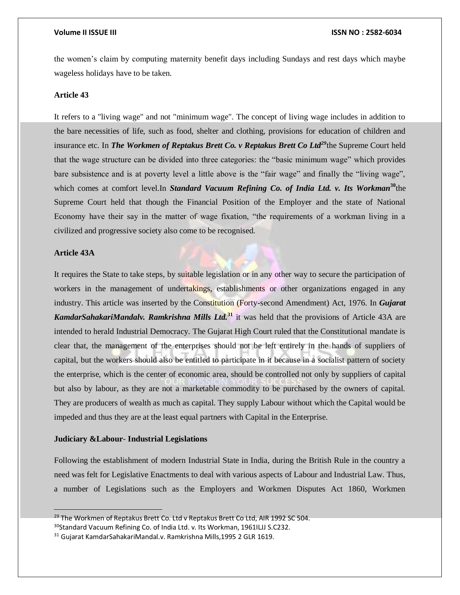the women's claim by computing maternity benefit days including Sundays and rest days which maybe wageless holidays have to be taken.

# **Article 43**

It refers to a "living wage" and not "minimum wage". The concept of living wage includes in addition to the bare necessities of life, such as food, shelter and clothing, provisions for education of children and insurance etc. In *The Workmen of Reptakus Brett Co. v Reptakus Brett Co Ltd<sup>29</sup>*the Supreme Court held that the wage structure can be divided into three categories: the "basic minimum wage" which provides bare subsistence and is at poverty level a little above is the "fair wage" and finally the "living wage", which comes at comfort level.In *Standard Vacuum Refining Co. of India Ltd. v. Its Workman***<sup>30</sup>the** Supreme Court held that though the Financial Position of the Employer and the state of National Economy have their say in the matter of wage fixation, "the requirements of a workman living in a civilized and progressive society also come to be recognised.

# **Article 43A**

It requires the State to take steps, by suitable legislation or in any other way to secure the participation of workers in the management of undertakings, establishments or other organizations engaged in any industry. This article was inserted by the Constitution (Forty-second Amendment) Act, 1976. In *Gujarat KamdarSahakariMandalv. Ramkrishna Mills Ltd.***<sup>31</sup>** it was held that the provisions of Article 43A are intended to herald Industrial Democracy. The Gujarat High Court ruled that the Constitutional mandate is clear that, the management of the enterprises should not be left entirely in the hands of suppliers of capital, but the workers should also be entitled to participate in it because in a socialist pattern of society the enterprise, which is the center of economic area, should be controlled not only by suppliers of capital but also by labour, as they are not a marketable commodity to be purchased by the owners of capital. They are producers of wealth as much as capital. They supply Labour without which the Capital would be impeded and thus they are at the least equal partners with Capital in the Enterprise.

### **Judiciary &Labour**- **Industrial Legislations**

Following the establishment of modern Industrial State in India, during the British Rule in the country a need was felt for Legislative Enactments to deal with various aspects of Labour and Industrial Law. Thus, a number of Legislations such as the Employers and Workmen Disputes Act 1860, Workmen

 $^{29}$  The Workmen of Reptakus Brett Co. Ltd v Reptakus Brett Co Ltd. AIR 1992 SC 504. <sup>30</sup>Standard Vacuum Refining Co. of India Ltd. v. Its Workman, 1961ILJJ S.C232.

<sup>31</sup> Gujarat KamdarSahakariMandal.v. Ramkrishna Mills,1995 2 GLR 1619.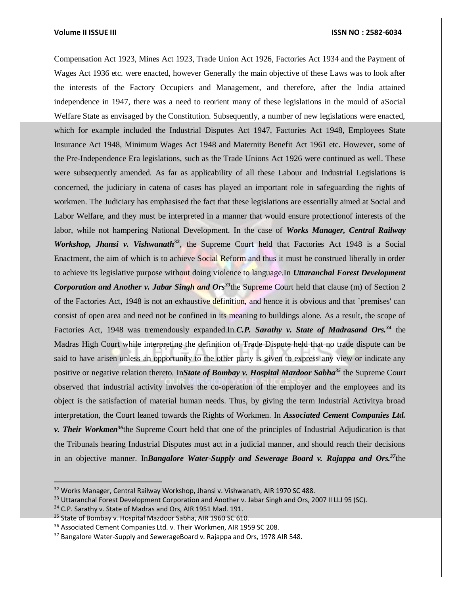Compensation Act 1923, Mines Act 1923, Trade Union Act 1926, Factories Act 1934 and the Payment of Wages Act 1936 etc. were enacted, however Generally the main objective of these Laws was to look after the interests of the Factory Occupiers and Management, and therefore, after the India attained independence in 1947, there was a need to reorient many of these legislations in the mould of aSocial Welfare State as envisaged by the Constitution. Subsequently, a number of new legislations were enacted, which for example included the Industrial Disputes Act 1947, Factories Act 1948, Employees State Insurance Act 1948, Minimum Wages Act 1948 and Maternity Benefit Act 1961 etc. However, some of the Pre-Independence Era legislations, such as the Trade Unions Act 1926 were continued as well. These were subsequently amended. As far as applicability of all these Labour and Industrial Legislations is concerned, the judiciary in catena of cases has played an important role in safeguarding the rights of workmen. The Judiciary has emphasised the fact that these legislations are essentially aimed at Social and Labor Welfare, and they must be interpreted in a manner that would ensure protectionof interests of the labor, while not hampering National Development. In the case of *Works Manager, Central Railway Workshop, Jhansi v. Vishwanath*<sup>32</sup>, the Supreme Court held that Factories Act 1948 is a Social Enactment, the aim of which is to achieve Social Reform and thus it must be construed liberally in order to achieve its legislative purpose without doing violence to language.In *Uttaranchal Forest Development Corporation and Another v. Jabar Singh and Ors<sup>33</sup>*the Supreme Court held that clause (m) of Section 2 of the Factories Act, 1948 is not an exhaustive definition, and hence it is obvious and that `premises' can consist of open area and need not be confined in its meaning to buildings alone. As a result, the scope of Factories Act, 1948 was tremendously expanded.In.*C.P. Sarathy v. State of Madrasand Ors.<sup>34</sup>* the Madras High Court while interpreting the definition of Trade Dispute held that no trade dispute can be said to have arisen unless an opportunity to the other party is given to express any view or indicate any positive or negative relation thereto. In*State of Bombay v. Hospital Mazdoor Sabha<sup>35</sup>* the Supreme Court observed that industrial activity involves the co-operation of the employer and the employees and its object is the satisfaction of material human needs. Thus, by giving the term Industrial Activitya broad interpretation, the Court leaned towards the Rights of Workmen. In *Associated Cement Companies Ltd. v. Their Workmen<sup>36</sup>*the Supreme Court held that one of the principles of Industrial Adjudication is that the Tribunals hearing Industrial Disputes must act in a judicial manner, and should reach their decisions in an objective manner. In*Bangalore Water-Supply and Sewerage Board v. Rajappa and Ors.<sup>37</sup>*the

<sup>&</sup>lt;sup>32</sup> Works Manager, Central Railway Workshop, Jhansi v. Vishwanath, AIR 1970 SC 488.

<sup>33</sup> Uttaranchal Forest Development Corporation and Another v. Jabar Singh and Ors, 2007 II LLJ 95 (SC).

<sup>&</sup>lt;sup>34</sup> C.P. Sarathy v. State of Madras and Ors, AIR 1951 Mad. 191.

<sup>&</sup>lt;sup>35</sup> State of Bombay v. Hospital Mazdoor Sabha, AIR 1960 SC 610.

<sup>&</sup>lt;sup>36</sup> Associated Cement Companies Ltd. v. Their Workmen, AIR 1959 SC 208.

<sup>&</sup>lt;sup>37</sup> Bangalore Water-Supply and SewerageBoard v. Rajappa and Ors, 1978 AIR 548.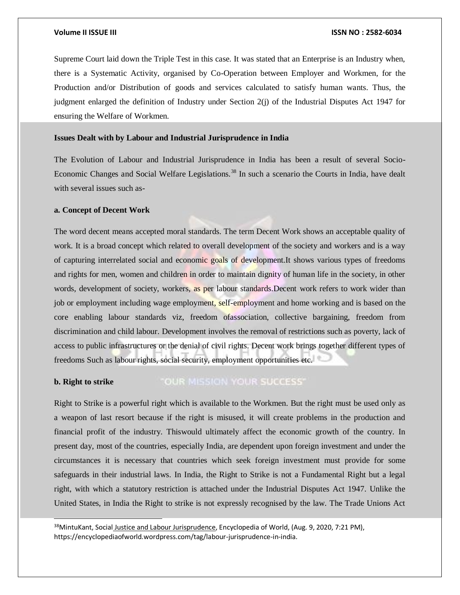Supreme Court laid down the Triple Test in this case. It was stated that an Enterprise is an Industry when, there is a Systematic Activity, organised by Co-Operation between Employer and Workmen, for the Production and/or Distribution of goods and services calculated to satisfy human wants. Thus, the judgment enlarged the definition of Industry under Section 2(j) of the Industrial Disputes Act 1947 for ensuring the Welfare of Workmen.

# **Issues Dealt with by Labour and Industrial Jurisprudence in India**

The Evolution of Labour and Industrial Jurisprudence in India has been a result of several Socio-Economic Changes and Social Welfare Legislations.<sup>38</sup> In such a scenario the Courts in India, have dealt with several issues such as-

# **a. Concept of Decent Work**

l

The word decent means accepted moral standards. The term Decent Work shows an acceptable quality of work. It is a broad concept which related to overall development of the society and workers and is a way of capturing interrelated social and economic goals of development.It shows various types of freedoms and rights for men, women and children in order to maintain dignity of human life in the society, in other words, development of society, workers, as per labour standards. Decent work refers to work wider than job or employment including wage employment, self-employment and home working and is based on the core enabling labour standards viz, freedom ofassociation, collective bargaining, freedom from discrimination and child labour. Development involves the removal of restrictions such as poverty, lack of access to public infrastructures or the denial of civil rights. Decent work brings together different types of freedoms Such as labour rights, social security, employment opportunities etc.

### "OUR MISSION YOUR SUCCESS" **b. Right to strike**

Right to Strike is a powerful right which is available to the Workmen. But the right must be used only as a weapon of last resort because if the right is misused, it will create problems in the production and financial profit of the industry. Thiswould ultimately affect the economic growth of the country. In present day, most of the countries, especially India, are dependent upon foreign investment and under the circumstances it is necessary that countries which seek foreign investment must provide for some safeguards in their industrial laws. In India, the Right to Strike is not a Fundamental Right but a legal right, with which a statutory restriction is attached under the Industrial Disputes Act 1947. Unlike the United States, in India the Right to strike is not expressly recognised by the law. The Trade Unions Act

<sup>&</sup>lt;sup>38</sup>MintuKant, Social Justice and Labour Jurisprudence, Encyclopedia of World, (Aug. 9, 2020, 7:21 PM), https://encyclopediaofworld.wordpress.com/tag/labour-jurisprudence-in-india.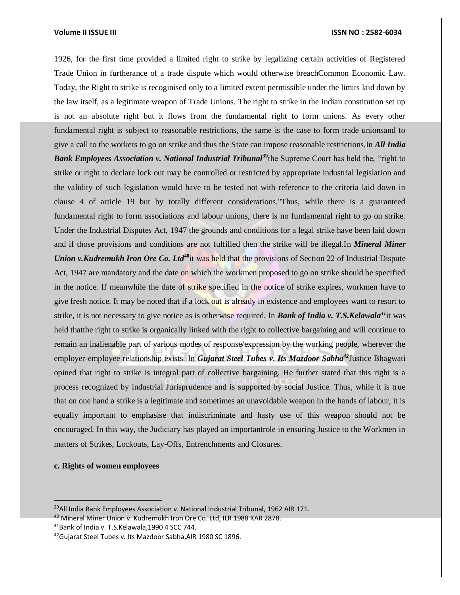1926, for the first time provided a limited right to strike by legalizing certain activities of Registered Trade Union in furtherance of a trade dispute which would otherwise breachCommon Economic Law. Today, the Right to strike is recoginised only to a limited extent permissible under the limits laid down by the law itself, as a legitimate weapon of Trade Unions. The right to strike in the Indian constitution set up is not an absolute right but it flows from the fundamental right to form unions. As every other fundamental right is subject to reasonable restrictions, the same is the case to form trade unionsand to give a call to the workers to go on strike and thus the State can impose reasonable restrictions.In *All India Bank Employees Association v. National Industrial Tribunal*<sup>39</sup>the Supreme Court has held the, "right to strike or right to declare lock out may be controlled or restricted by appropriate industrial legislation and the validity of such legislation would have to be tested not with reference to the criteria laid down in clause 4 of article 19 but by totally different considerations."Thus, while there is a guaranteed fundamental right to form associations and labour unions, there is no fundamental right to go on strike. Under the Industrial Disputes Act, 1947 the grounds and conditions for a legal strike have been laid down and if those provisions and conditions are not fulfilled then the strike will be illegal.In *Mineral Miner Union v.Kudremukh Iron Ore Co. Ltd*<sup>40</sup>it was held that the provisions of Section 22 of Industrial Dispute Act, 1947 are mandatory and the date on which the workmen proposed to go on strike should be specified in the notice. If meanwhile the date of strike specified in the notice of strike expires, workmen have to give fresh notice. It may be noted that if a lock out is already in existence and employees want to resort to strike, it is not necessary to give notice as is otherwise required. In *Bank of India v. T.S.Kelawala<sup>41</sup>*it was held thatthe right to strike is organically linked with the right to collective bargaining and will continue to remain an inalienable part of various modes of response/expression by the working people, wherever the employer-employee relationship exists. In *Gujarat Steel Tubes v. Its Mazdoor Sabha<sup>42</sup>*Justice Bhagwati opined that right to strike is integral part of collective bargaining. He further stated that this right is a process recognized by industrial Jurisprudence and is supported by social Justice. Thus, while it is true that on one hand a strike is a legitimate and sometimes an unavoidable weapon in the hands of labour, it is equally important to emphasise that indiscriminate and hasty use of this weapon should not be encouraged. In this way, the Judiciary has played an importantrole in ensuring Justice to the Workmen in matters of Strikes, Lockouts, Lay-Offs, Entrenchments and Closures.

# **c. Rights of women employees**

<sup>41</sup>Bank of India v. T.S.Kelawala,1990 4 SCC 744.

<sup>&</sup>lt;sup>39</sup>All India Bank Employees Association v. National Industrial Tribunal, 1962 AIR 171.

<sup>40</sup> Mineral Miner Union v. Kudremukh Iron Ore Co. Ltd, ILR 1988 KAR 2878.

<sup>&</sup>lt;sup>42</sup>Gujarat Steel Tubes v. Its Mazdoor Sabha, AIR 1980 SC 1896.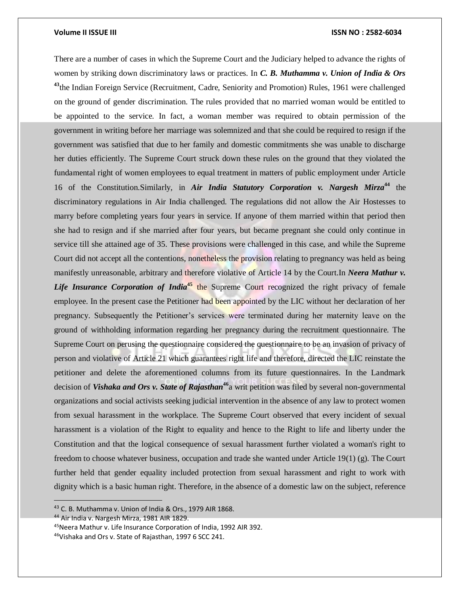There are a number of cases in which the Supreme Court and the Judiciary helped to advance the rights of women by striking down discriminatory laws or practices. In *C. B. Muthamma v. Union of India & Ors*  <sup>43</sup>the Indian Foreign Service (Recruitment, Cadre, Seniority and Promotion) Rules, 1961 were challenged on the ground of gender discrimination. The rules provided that no married woman would be entitled to be appointed to the service. In fact, a woman member was required to obtain permission of the government in writing before her marriage was solemnized and that she could be required to resign if the government was satisfied that due to her family and domestic commitments she was unable to discharge her duties efficiently. The Supreme Court struck down these rules on the ground that they violated the fundamental right of women employees to equal treatment in matters of public employment under Article 16 of the Constitution.Similarly, in *Air India Statutory Corporation v. Nargesh Mirza***<sup>44</sup>** the discriminatory regulations in Air India challenged. The regulations did not allow the Air Hostesses to marry before completing years four years in service. If anyone of them married within that period then she had to resign and if she married after four years, but became pregnant she could only continue in service till she attained age of 35. These provisions were challenged in this case, and while the Supreme Court did not accept all the contentions, nonetheless the provision relating to pregnancy was held as being manifestly unreasonable, arbitrary and therefore violative of Article 14 by the Court.In *Neera Mathur v. Life Insurance Corporation of India***<sup>45</sup>** the Supreme Court recognized the right privacy of female employee. In the present case the Petitioner had been appointed by the LIC without her declaration of her pregnancy. Subsequently the Petitioner's services were terminated during her maternity leave on the ground of withholding information regarding her pregnancy during the recruitment questionnaire. The Supreme Court on perusing the questionnaire considered the questionnaire to be an invasion of privacy of person and violative of Article 21 which guarantees right life and therefore, directed the LIC reinstate the petitioner and delete the aforementioned columns from its future questionnaires. In the Landmark decision of *Vishaka and Ors v. State of Rajasthan***<sup>46</sup>**a writ petition was filed by several non-governmental organizations and social activists seeking judicial intervention in the absence of any law to protect women from sexual harassment in the workplace. The Supreme Court observed that every incident of sexual harassment is a violation of the Right to equality and hence to the Right to life and liberty under the Constitution and that the logical consequence of sexual harassment further violated a woman's right to freedom to choose whatever business, occupation and trade she wanted under Article 19(1) (g). The Court further held that gender equality included protection from sexual harassment and right to work with dignity which is a basic human right. Therefore, in the absence of a domestic law on the subject, reference

<sup>44</sup> Air India v. Nargesh Mirza, 1981 AIR 1829.

<sup>43</sup> C. B. Muthamma v. Union of India & Ors., 1979 AIR 1868.

<sup>45</sup>Neera Mathur v. Life Insurance Corporation of India, 1992 AIR 392.

<sup>46</sup>Vishaka and Ors v. State of Rajasthan, 1997 6 SCC 241.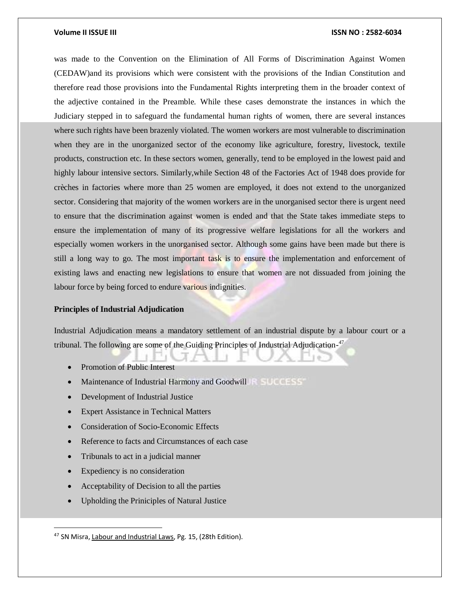was made to the Convention on the Elimination of All Forms of Discrimination Against Women (CEDAW)and its provisions which were consistent with the provisions of the Indian Constitution and therefore read those provisions into the Fundamental Rights interpreting them in the broader context of the adjective contained in the Preamble. While these cases demonstrate the instances in which the Judiciary stepped in to safeguard the fundamental human rights of women, there are several instances where such rights have been brazenly violated. The women workers are most vulnerable to discrimination when they are in the unorganized sector of the economy like agriculture, forestry, livestock, textile products, construction etc. In these sectors women, generally, tend to be employed in the lowest paid and highly labour intensive sectors. Similarly,while Section 48 of the Factories Act of 1948 does provide for crèches in factories where more than 25 women are employed, it does not extend to the unorganized sector. Considering that majority of the women workers are in the unorganised sector there is urgent need to ensure that the discrimination against women is ended and that the State takes immediate steps to ensure the implementation of many of its progressive welfare legislations for all the workers and especially women workers in the unorganised sector. Although some gains have been made but there is still a long way to go. The most important task is to ensure the implementation and enforcement of existing laws and enacting new legislations to ensure that women are not dissuaded from joining the labour force by being forced to endure various indignities.

# **Principles of Industrial Adjudication**

Industrial Adjudication means a mandatory settlement of an industrial dispute by a labour court or a tribunal. The following are some of the Guiding Principles of Industrial Adjudication-<sup>47</sup>

- Promotion of Public Interest
- Maintenance of Industrial Harmony and Goodwill
- Development of Industrial Justice
- Expert Assistance in Technical Matters
- Consideration of Socio-Economic Effects
- Reference to facts and Circumstances of each case
- Tribunals to act in a judicial manner
- Expediency is no consideration

- Acceptability of Decision to all the parties
- Upholding the Priniciples of Natural Justice

<sup>&</sup>lt;sup>47</sup> SN Misra, Labour and Industrial Laws, Pg. 15, (28th Edition).